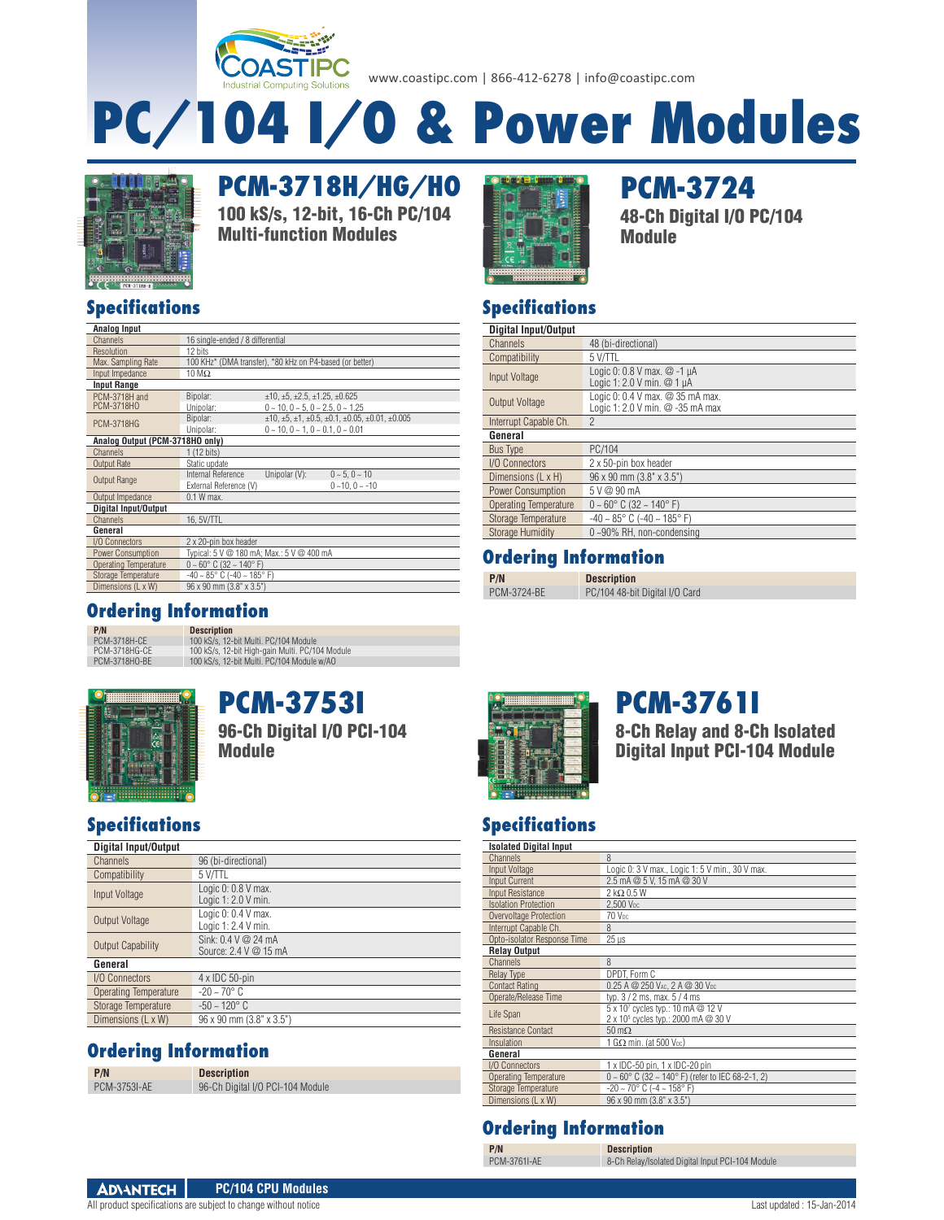

www.coastipc.com | 866-412-6278 | info@coastipc.com

# **PC/104 I/O & Power Modules**



**Specifications**

Resolution 12 bits<br>Max. Sampling Rate 100 KH

**Analog Output (PCM-3718HO only)** Channels 1 (12 bits)<br>Output Rate Static upda

Output Impedance 0.1 W max. **Digital Input/Output** Channels 16, 5V/TTL

I/O Connectors 2 x 20-pin box header

Channels 16 single-ended / 8 differential

Static update

Power Consumption Typical: 5 V @ 180 mA; Max.: 5 V @ 400 mA<br>
Operating Temperature  $0 \sim 60^{\circ}$  C (32 ~ 140° F) Operating Temperature 0 ~ 60° C (32 ~ 140° F) Storage Temperature -40 ~ 85° C (-40 ~ 185° F) Dimensions (L x W) 96 x 90 mm (3.8" x 3.5")

Output Range Internal Reference Unipolar (V):  $0 \sim 5, 0 \sim 10$ <br>External Reference (V)  $0 \sim 10, 0 \sim -10$ External Reference (V)

**Analog Input**

Input Impedance **Input Range** PCM-3718H and PCM-3718HO

**General**

**PCM-3718H/HG/HO** 100 kS/s, 12-bit, 16-Ch PC/104 Multi-function Modules



**PCM-3724** 48-Ch Digital I/O PC/104 Module

#### **Specifications**

| Digital Input/Output     |                                                                      |
|--------------------------|----------------------------------------------------------------------|
| Channels                 | 48 (bi-directional)                                                  |
| Compatibility            | 5 V/TTL                                                              |
| <b>Input Voltage</b>     | Logic 0: 0.8 V max. @ -1 µA<br>Logic 1: 2.0 V min. @ 1 µA            |
| Output Voltage           | Logic 0: 0.4 V max. @ 35 mA max.<br>Logic 1: 2.0 V min. @ -35 mA max |
| Interrupt Capable Ch.    | 2                                                                    |
| General                  |                                                                      |
| <b>Bus Type</b>          | PC/104                                                               |
| I/O Connectors           | 2 x 50-pin box header                                                |
| Dimensions (L x H)       | 96 x 90 mm (3.8" x 3.5")                                             |
| <b>Power Consumption</b> | 5 V @ 90 mA                                                          |
| Operating Temperature    | $0 \sim 60^{\circ}$ C (32 $\sim 140^{\circ}$ F)                      |
| Storage Temperature      | $-40 \sim 85^{\circ}$ C ( $-40 \sim 185^{\circ}$ F)                  |
| <b>Storage Humidity</b>  | 0~90% RH, non-condensing                                             |

#### **Ordering Information**

PC/104 48-bit Digital I/O Card

**Description** 

**Ordering Information P/N Description**<br>PCM-3718H-CE 100 kS/s. 12-

PCM-3718H-CE 100 kS/s, 12-bit Multi. PC/104 Module PCM-3718HG-CE 100 kS/s, 12-bit High-gain Multi. PC/104 Module PCM-3718HO-BE 100 kS/s, 12-bit Multi. PC/104 Module w/AO

100 KHz\* (DMA transfer), \*80 kHz on P4-based (or better) 10 M $\Omega$ 

Bipolar:  $\pm 10, \pm 5, \pm 2.5, \pm 1.25, \pm 0.625$ PCM-3718H0 Unipolar: 0 ~ 10, 0 − 5, 0 ~ 2.5, 0 ~ 1.25<br>PCM-3718HG Bipolar: ±10, ±5, ±1, ±0.5, ±0.1, ±0.05, ±0.01, ±0.005 Unipolar:  $0 \sim 10, 0 \sim 1, 0 \sim 0.1, 0 \sim 0.01$ 



**PCM-3753I** 96-Ch Digital I/O PCI-104 Module

#### **Specifications**

| <b>Digital Input/Output</b> |                                                  |
|-----------------------------|--------------------------------------------------|
| Channels                    | 96 (bi-directional)                              |
| Compatibility               | 5 V/TTL                                          |
| Input Voltage               | Logic 0: 0.8 V max.<br>Logic 1: 2.0 V min.       |
| Output Voltage              | Logic 0: 0.4 V max.<br>Logic 1: 2.4 V min.       |
| Output Capability           | Sink: $0.4$ V $@$ 24 mA<br>Source: 2.4 V @ 15 mA |
| General                     |                                                  |
| I/O Connectors              | 4 x IDC 50-pin                                   |
| Operating Temperature       | $-20 \sim 70^{\circ}$ C                          |
| Storage Temperature         | $-50 \sim 120^{\circ}$ C                         |
| Dimensions (L x W)          | $96 \times 90$ mm $(3.8" \times 3.5")$           |

#### **Ordering Information**

| P/N                 | <b>Description</b>               |
|---------------------|----------------------------------|
| <b>PCM-3753I-AE</b> | 96-Ch Digital I/O PCI-104 Module |



## **PCM-3761I**

8-Ch Relay and 8-Ch Isolated Digital Input PCI-104 Module

#### **Specifications Isolated Digital Input**

| <b>ISUIDED DIGILAL IMPUL</b> |                                                                                      |
|------------------------------|--------------------------------------------------------------------------------------|
| Channels                     | 8                                                                                    |
| Input Voltage                | Logic 0: 3 V max., Logic 1: 5 V min., 30 V max.                                      |
| <b>Input Current</b>         | 2.5 mA @ 5 V. 15 mA @ 30 V                                                           |
| Input Resistance             | $2$ k $\Omega$ 0.5 W                                                                 |
| <b>Isolation Protection</b>  | 2.500 V <sub>pc</sub>                                                                |
| Overvoltage Protection       | 70 V <sub>pc</sub>                                                                   |
| Interrupt Capable Ch.        | R                                                                                    |
| Opto-isolator Response Time  | $25 \,\mathrm{\mu s}$                                                                |
| <b>Relay Output</b>          |                                                                                      |
| Channels                     | 8                                                                                    |
| <b>Relay Type</b>            | DPDT, Form C                                                                         |
| <b>Contact Rating</b>        | 0.25 A @ 250 VAC, 2 A @ 30 VDC                                                       |
| Operate/Release Time         | typ. $3/2$ ms, max. $5/4$ ms                                                         |
| Life Span                    | 5 x 107 cycles typ.: 10 mA @ 12 V<br>2 x 10 <sup>5</sup> cycles typ.: 2000 mA @ 30 V |
| <b>Resistance Contact</b>    | $50 \text{ m}\Omega$                                                                 |
| Insulation                   | 1 $G\Omega$ min. (at 500 Vpc)                                                        |
| General                      |                                                                                      |
| I/O Connectors               | 1 x IDC-50 pin, 1 x IDC-20 pin                                                       |
| <b>Operating Temperature</b> | $0 \sim 60^{\circ}$ C (32 ~ 140° F) (refer to IEC 68-2-1, 2)                         |
| Storage Temperature          | $-20 \sim 70^{\circ}$ C ( $-4 \sim 158^{\circ}$ F)                                   |
| Dimensions (L x W)           | 96 x 90 mm (3.8" x 3.5")                                                             |
|                              |                                                                                      |

#### **Ordering Information**

**Description** 

| P/N          |  |
|--------------|--|
| PCM-3761I-AE |  |

**ADVANTECH PC/104 CPU Modules**

8-Ch Relay/Isolated Digital Input PCI-104 Module